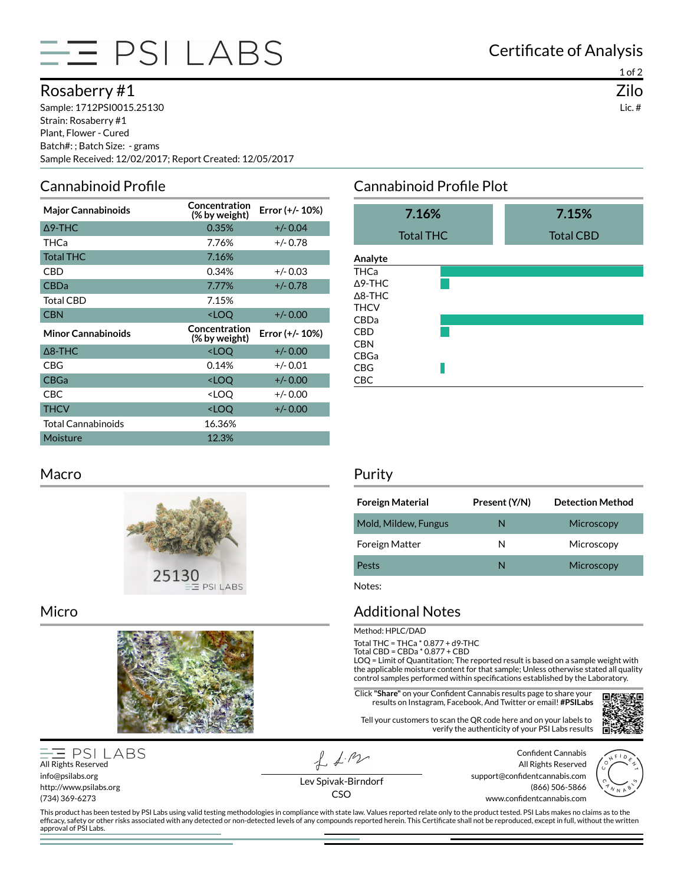

## Rosaberry #1

Sample: 1712PSI0015.25130 Strain: Rosaberry #1 Plant, Flower - Cured Batch#: ; Batch Size: - grams Sample Received: 12/02/2017; Report Created: 12/05/2017

## Cannabinoid Profile

| <b>Major Cannabinoids</b> | Concentration<br>(% by weight)                    | Error (+/- 10%) |
|---------------------------|---------------------------------------------------|-----------------|
| $\Delta$ 9-THC            | 0.35%                                             | $+/- 0.04$      |
| THCa                      | 7.76%                                             | $+/- 0.78$      |
| <b>Total THC</b>          | 7.16%                                             |                 |
| CBD                       | 0.34%                                             | $+/- 0.03$      |
| <b>CBDa</b>               | 7.77%                                             | $+/- 0.78$      |
| <b>Total CBD</b>          | 7.15%                                             |                 |
| <b>CBN</b>                | <loq< td=""><td><math>+/- 0.00</math></td></loq<> | $+/- 0.00$      |
|                           |                                                   |                 |
| <b>Minor Cannabinoids</b> | Concentration<br>(% by weight)                    | Error (+/- 10%) |
| $\Delta$ 8-THC            | <loq< td=""><td><math>+/- 0.00</math></td></loq<> | $+/- 0.00$      |
| CBG                       | 0.14%                                             | $+/- 0.01$      |
| <b>CBGa</b>               | <loo< td=""><td><math>+/- 0.00</math></td></loo<> | $+/- 0.00$      |
| CBC.                      | <loo< td=""><td><math>+/- 0.00</math></td></loo<> | $+/- 0.00$      |
| <b>THCV</b>               | <loq< td=""><td><math>+/- 0.00</math></td></loq<> | $+/- 0.00$      |
| <b>Total Cannabinoids</b> | 16.36%                                            |                 |

#### Macro



#### Micro



#### **PSI LABS** All Rights Reserved info@psilabs.org http://www.psilabs.org (734) 369-6273

 $f_{\text{A}}$ 

Certificate of Analysis

## Cannabinoid Profile Plot

| 7.16%            |  | 7.15%            |  |  |
|------------------|--|------------------|--|--|
| <b>Total THC</b> |  | <b>Total CBD</b> |  |  |
| Analyte          |  |                  |  |  |
| THCa             |  |                  |  |  |
| Δ9-THC           |  |                  |  |  |
| $\Delta$ 8-THC   |  |                  |  |  |
| THCV             |  |                  |  |  |
| CBDa             |  |                  |  |  |
| CBD              |  |                  |  |  |
| CBN              |  |                  |  |  |
| CBGa             |  |                  |  |  |
| CBG              |  |                  |  |  |
| CBC              |  |                  |  |  |

#### Purity

| <b>Foreign Material</b> | Present (Y/N) | <b>Detection Method</b> |
|-------------------------|---------------|-------------------------|
| Mold, Mildew, Fungus    | N             | Microscopy              |
| <b>Foreign Matter</b>   | N             | Microscopy              |
| Pests                   | N             | Microscopy              |

Notes:

### Additional Notes

Method: HPLC/DAD

Total THC = THCa \* 0.877 + d9-THC

Total CBD = CBDa \* 0.877 + CBD

LOQ = Limit of Quantitation; The reported result is based on a sample weight with the applicable moisture content for that sample; Unless otherwise stated all quality control samples performed within specifications established by the Laboratory.

**Click "Share"** on your Confident Cannabis results page to share your results on Instagram, Facebook, And Twitter or email! **#PSILabs**

Tell your customers to scan the QR code here and on your labels to verify the authenticity of your PSI Labs results



Confident Cannabis All Rights Reserved support@confidentcannabis.com (866) 506-5866 www.confidentcannabis.com



Lev Spivak-Birndorf CSO

This product has been tested by PSI Labs using valid testing methodologies in compliance with state law. Values reported relate only to the product tested. PSI Labs makes no claims as to the efficacy, safety or other risks associated with any detected or non-detected levels of any compounds reported herein. This Certificate shall not be reproduced, except in full, without the written approval of PSI Labs.